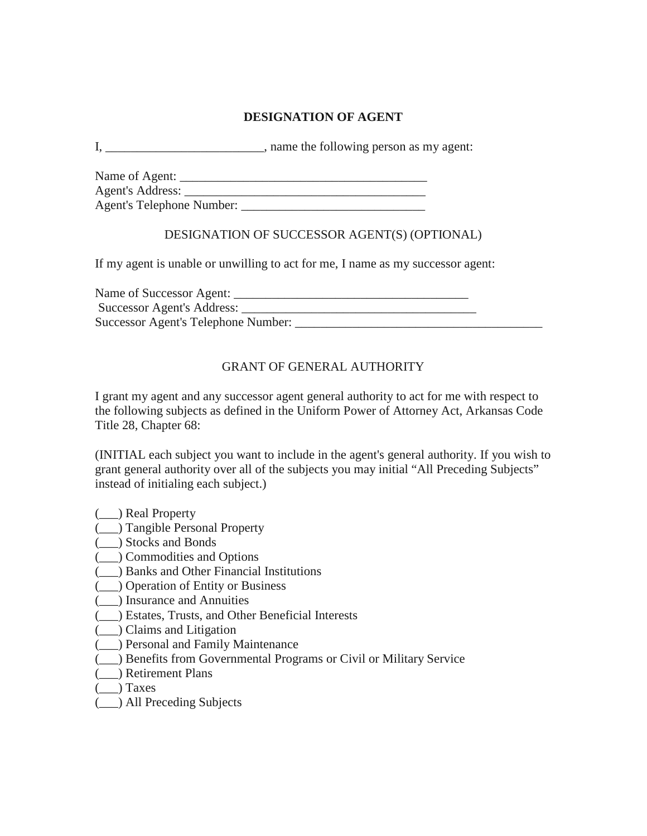# **DESIGNATION OF AGENT**

I, hame the following person as my agent:

| Name of Agent:            |  |
|---------------------------|--|
| Agent's Address:          |  |
| Agent's Telephone Number: |  |

### DESIGNATION OF SUCCESSOR AGENT(S) (OPTIONAL)

If my agent is unable or unwilling to act for me, I name as my successor agent:

Name of Successor Agent: \_\_\_\_\_\_\_\_\_\_\_\_\_\_\_\_\_\_\_\_\_\_\_\_\_\_\_\_\_\_\_\_\_\_\_\_\_ Successor Agent's Address: Successor Agent's Telephone Number:

# GRANT OF GENERAL AUTHORITY

I grant my agent and any successor agent general authority to act for me with respect to the following subjects as defined in the Uniform Power of Attorney Act, Arkansas Code Title 28, Chapter 68:

(INITIAL each subject you want to include in the agent's general authority. If you wish to grant general authority over all of the subjects you may initial "All Preceding Subjects" instead of initialing each subject.)

- (\_\_\_) Real Property
- (\_\_\_) Tangible Personal Property
- (\_\_\_) Stocks and Bonds
- (\_\_\_) Commodities and Options
- (\_\_\_) Banks and Other Financial Institutions
- (\_\_\_) Operation of Entity or Business
- (\_\_\_) Insurance and Annuities
- (\_\_\_) Estates, Trusts, and Other Beneficial Interests
- (\_\_\_) Claims and Litigation
- (\_\_\_) Personal and Family Maintenance
- (\_\_\_) Benefits from Governmental Programs or Civil or Military Service
- (\_\_\_) Retirement Plans
- (\_\_\_) Taxes
- (\_\_\_) All Preceding Subjects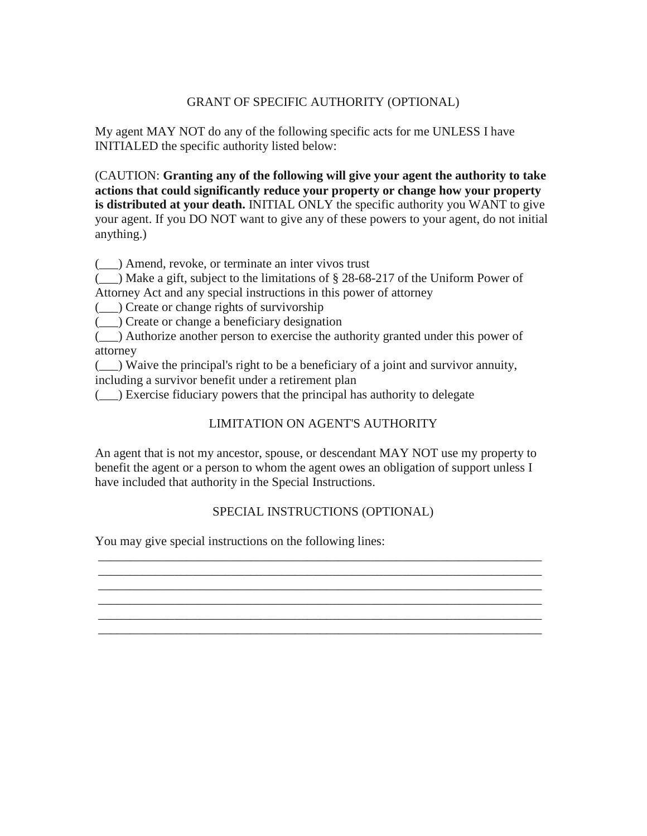### GRANT OF SPECIFIC AUTHORITY (OPTIONAL)

My agent MAY NOT do any of the following specific acts for me UNLESS I have INITIALED the specific authority listed below:

(CAUTION: **Granting any of the following will give your agent the authority to take actions that could significantly reduce your property or change how your property is distributed at your death.** INITIAL ONLY the specific authority you WANT to give your agent. If you DO NOT want to give any of these powers to your agent, do not initial anything.)

(\_\_\_) Amend, revoke, or terminate an inter vivos trust

 $($ ) Make a gift, subject to the limitations of § 28-68-217 of the Uniform Power of Attorney Act and any special instructions in this power of attorney

(\_\_\_) Create or change rights of survivorship

(\_\_\_) Create or change a beneficiary designation

(\_\_\_) Authorize another person to exercise the authority granted under this power of attorney

(\_\_\_) Waive the principal's right to be a beneficiary of a joint and survivor annuity, including a survivor benefit under a retirement plan

(\_\_\_) Exercise fiduciary powers that the principal has authority to delegate

# LIMITATION ON AGENT'S AUTHORITY

An agent that is not my ancestor, spouse, or descendant MAY NOT use my property to benefit the agent or a person to whom the agent owes an obligation of support unless I have included that authority in the Special Instructions.

#### SPECIAL INSTRUCTIONS (OPTIONAL)

\_\_\_\_\_\_\_\_\_\_\_\_\_\_\_\_\_\_\_\_\_\_\_\_\_\_\_\_\_\_\_\_\_\_\_\_\_\_\_\_\_\_\_\_\_\_\_\_\_\_\_\_\_\_\_\_\_\_\_\_\_\_\_\_\_\_\_\_\_\_ \_\_\_\_\_\_\_\_\_\_\_\_\_\_\_\_\_\_\_\_\_\_\_\_\_\_\_\_\_\_\_\_\_\_\_\_\_\_\_\_\_\_\_\_\_\_\_\_\_\_\_\_\_\_\_\_\_\_\_\_\_\_\_\_\_\_\_\_\_\_

\_\_\_\_\_\_\_\_\_\_\_\_\_\_\_\_\_\_\_\_\_\_\_\_\_\_\_\_\_\_\_\_\_\_\_\_\_\_\_\_\_\_\_\_\_\_\_\_\_\_\_\_\_\_\_\_\_\_\_\_\_\_\_\_\_\_\_\_\_\_ \_\_\_\_\_\_\_\_\_\_\_\_\_\_\_\_\_\_\_\_\_\_\_\_\_\_\_\_\_\_\_\_\_\_\_\_\_\_\_\_\_\_\_\_\_\_\_\_\_\_\_\_\_\_\_\_\_\_\_\_\_\_\_\_\_\_\_\_\_\_ \_\_\_\_\_\_\_\_\_\_\_\_\_\_\_\_\_\_\_\_\_\_\_\_\_\_\_\_\_\_\_\_\_\_\_\_\_\_\_\_\_\_\_\_\_\_\_\_\_\_\_\_\_\_\_\_\_\_\_\_\_\_\_\_\_\_\_\_\_\_

You may give special instructions on the following lines: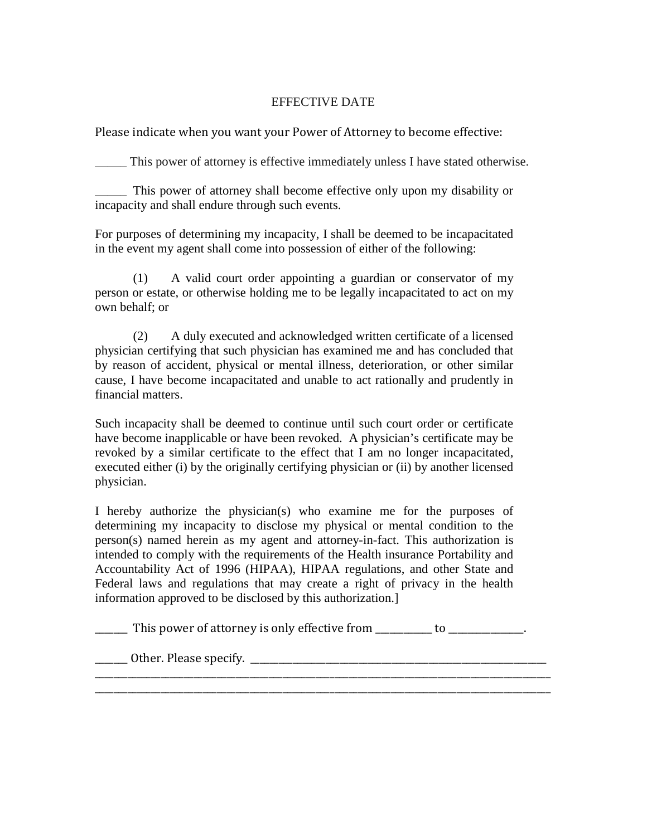### EFFECTIVE DATE

Please indicate when you want your Power of Attorney to become effective:

\_\_\_\_\_ This power of attorney is effective immediately unless I have stated otherwise.

\_\_\_\_\_ This power of attorney shall become effective only upon my disability or incapacity and shall endure through such events.

For purposes of determining my incapacity, I shall be deemed to be incapacitated in the event my agent shall come into possession of either of the following:

(1) A valid court order appointing a guardian or conservator of my person or estate, or otherwise holding me to be legally incapacitated to act on my own behalf; or

(2) A duly executed and acknowledged written certificate of a licensed physician certifying that such physician has examined me and has concluded that by reason of accident, physical or mental illness, deterioration, or other similar cause, I have become incapacitated and unable to act rationally and prudently in financial matters.

Such incapacity shall be deemed to continue until such court order or certificate have become inapplicable or have been revoked. A physician's certificate may be revoked by a similar certificate to the effect that I am no longer incapacitated, executed either (i) by the originally certifying physician or (ii) by another licensed physician.

I hereby authorize the physician(s) who examine me for the purposes of determining my incapacity to disclose my physical or mental condition to the person(s) named herein as my agent and attorney-in-fact. This authorization is intended to comply with the requirements of the Health insurance Portability and Accountability Act of 1996 (HIPAA), HIPAA regulations, and other State and Federal laws and regulations that may create a right of privacy in the health information approved to be disclosed by this authorization.]

| This power of attorney is only effective from |  |
|-----------------------------------------------|--|
|-----------------------------------------------|--|

\_\_\_\_\_\_\_\_\_\_\_\_\_\_\_\_\_\_\_\_\_\_\_\_\_\_\_\_\_\_\_\_\_\_\_\_\_\_\_\_\_\_\_\_\_\_\_\_\_\_\_\_\_\_\_\_\_\_\_\_\_\_\_\_\_\_\_\_\_\_\_\_\_\_\_\_\_\_\_\_\_\_\_\_\_\_\_\_\_\_\_\_\_\_\_\_\_ \_\_\_\_\_\_\_\_\_\_\_\_\_\_\_\_\_\_\_\_\_\_\_\_\_\_\_\_\_\_\_\_\_\_\_\_\_\_\_\_\_\_\_\_\_\_\_\_\_\_\_\_\_\_\_\_\_\_\_\_\_\_\_\_\_\_\_\_\_\_\_\_\_\_\_\_\_\_\_\_\_\_\_\_\_\_\_\_\_\_\_\_\_\_\_\_\_

\_\_\_\_\_\_\_ Other. Please specify. \_\_\_\_\_\_\_\_\_\_\_\_\_\_\_\_\_\_\_\_\_\_\_\_\_\_\_\_\_\_\_\_\_\_\_\_\_\_\_\_\_\_\_\_\_\_\_\_\_\_\_\_\_\_\_\_\_\_\_\_\_\_\_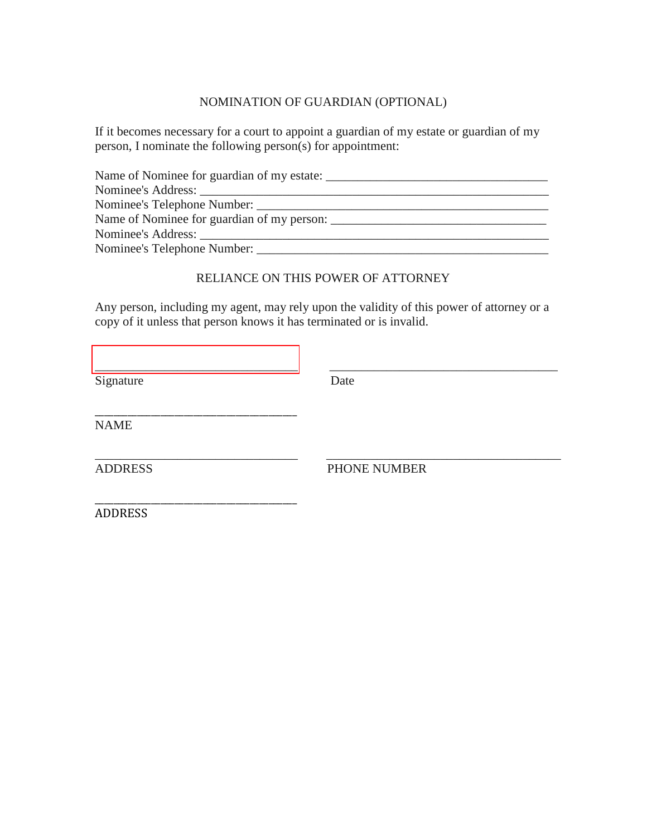### NOMINATION OF GUARDIAN (OPTIONAL)

If it becomes necessary for a court to appoint a guardian of my estate or guardian of my person, I nominate the following person(s) for appointment:

| Name of Nominee for guardian of my estate: |
|--------------------------------------------|
|                                            |
|                                            |
| Name of Nominee for guardian of my person: |
|                                            |
| Nominee's Telephone Number:                |

### RELIANCE ON THIS POWER OF ATTORNEY

Any person, including my agent, may rely upon the validity of this power of attorney or a copy of it unless that person knows it has terminated or is invalid.

[\\_\\_\\_\\_\\_\\_\\_\\_\\_\\_\\_\\_\\_\\_\\_\\_\\_\\_\\_\\_\\_\\_\\_\\_\\_\\_\\_\\_\\_\\_\\_\\_](https://esign.com) \_\_\_\_\_\_\_\_\_\_\_\_\_\_\_\_\_\_\_\_\_\_\_\_\_\_\_\_\_\_\_\_\_\_\_\_

Signature Date

\_\_\_\_\_\_\_\_\_\_\_\_\_\_\_\_\_\_\_\_\_\_\_\_\_\_\_\_\_\_\_\_\_\_\_\_\_\_\_\_\_\_\_ NAME

\_\_\_\_\_\_\_\_\_\_\_\_\_\_\_\_\_\_\_\_\_\_\_\_\_\_\_\_\_\_\_\_ \_\_\_\_\_\_\_\_\_\_\_\_\_\_\_\_\_\_\_\_\_\_\_\_\_\_\_\_\_\_\_\_\_\_\_\_\_ ADDRESS PHONE NUMBER

\_\_\_\_\_\_\_\_\_\_\_\_\_\_\_\_\_\_\_\_\_\_\_\_\_\_\_\_\_\_\_\_\_\_\_\_\_\_\_\_\_\_\_ ADDRESS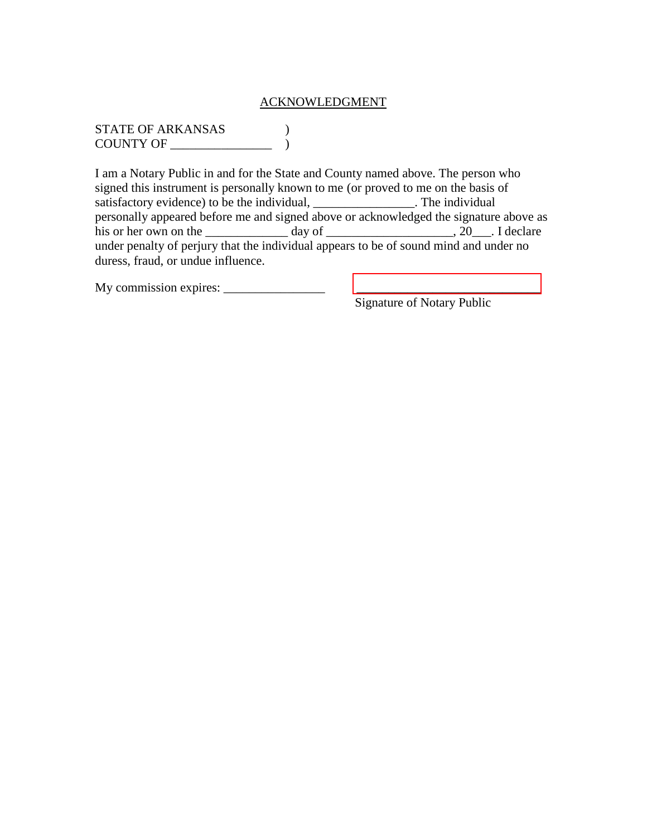#### ACKNOWLEDGMENT

STATE OF ARKANSAS ) COUNTY OF  $\qquad \qquad$ 

I am a Notary Public in and for the State and County named above. The person who signed this instrument is personally known to me (or proved to me on the basis of satisfactory evidence) to be the individual, \_\_\_\_\_\_\_\_\_\_\_\_\_\_\_\_\_\_. The individual personally appeared before me and signed above or acknowledged the signature above as his or her own on the  $\_\_\_\_\_$  day of  $\_\_\_\_\_\_\_\_\_$ , 20 $\_\_\_\_\$ . I declare under penalty of perjury that the individual appears to be of sound mind and under no duress, fraud, or undue influence.

My commission expires: \_\_\_\_\_\_\_\_\_\_\_\_\_\_\_\_ [\\_\\_\\_\\_\\_\\_\\_\\_\\_\\_\\_\\_\\_\\_\\_\\_\\_\\_\\_\\_\\_\\_\\_\\_\\_\\_\\_\\_\\_](https://esign.com) 

Signature of Notary Public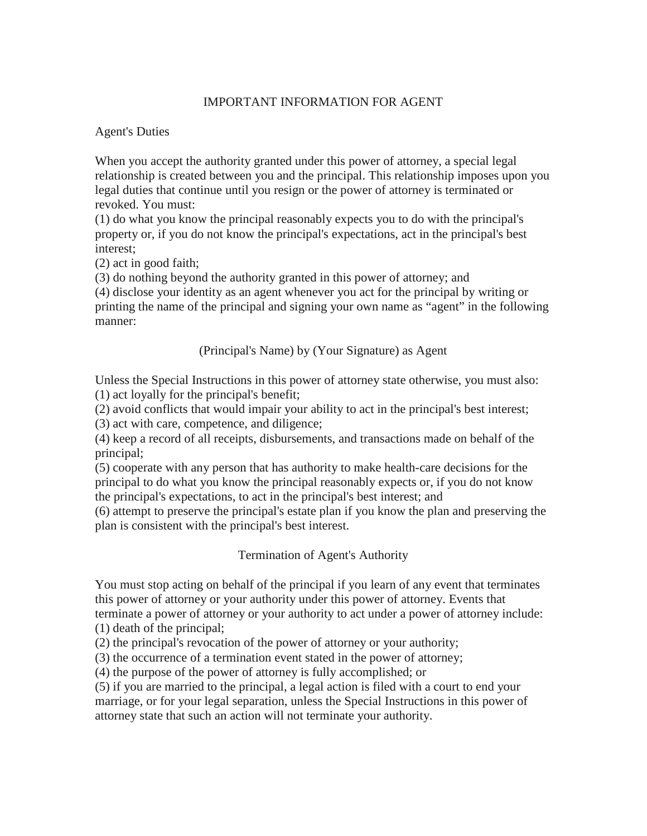### IMPORTANT INFORMATION FOR AGENT

#### Agent's Duties

When you accept the authority granted under this power of attorney, a special legal relationship is created between you and the principal. This relationship imposes upon you legal duties that continue until you resign or the power of attorney is terminated or revoked. You must:

(1) do what you know the principal reasonably expects you to do with the principal's property or, if you do not know the principal's expectations, act in the principal's best interest;

(2) act in good faith;

(3) do nothing beyond the authority granted in this power of attorney; and

(4) disclose your identity as an agent whenever you act for the principal by writing or printing the name of the principal and signing your own name as "agent" in the following manner:

(Principal's Name) by (Your Signature) as Agent

Unless the Special Instructions in this power of attorney state otherwise, you must also: (1) act loyally for the principal's benefit;

(2) avoid conflicts that would impair your ability to act in the principal's best interest; (3) act with care, competence, and diligence;

(4) keep a record of all receipts, disbursements, and transactions made on behalf of the principal;

(5) cooperate with any person that has authority to make health-care decisions for the principal to do what you know the principal reasonably expects or, if you do not know the principal's expectations, to act in the principal's best interest; and

(6) attempt to preserve the principal's estate plan if you know the plan and preserving the plan is consistent with the principal's best interest.

# Termination of Agent's Authority

You must stop acting on behalf of the principal if you learn of any event that terminates this power of attorney or your authority under this power of attorney. Events that terminate a power of attorney or your authority to act under a power of attorney include: (1) death of the principal;

(2) the principal's revocation of the power of attorney or your authority;

(3) the occurrence of a termination event stated in the power of attorney;

(4) the purpose of the power of attorney is fully accomplished; or

(5) if you are married to the principal, a legal action is filed with a court to end your marriage, or for your legal separation, unless the Special Instructions in this power of attorney state that such an action will not terminate your authority.